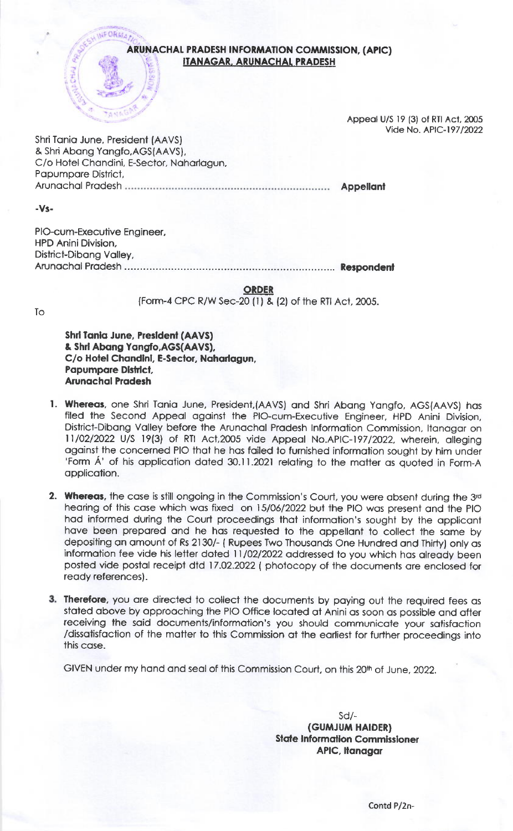ARUNACHAL PRADESH INFORMATION COMMISSION, (APIC)  $\left\{ \begin{array}{c} \mathbf{r} \\ \mathbf{r} \end{array} \right\}$ ITANAGAR, ARUNACHAL PRADESH

> Appeal U/S 19 (3) of RTI Act, 2005 Vide No. AP!C-19712022

**Appellant** 

Shri Tonio June, President (AAVS) & Shri Abong Yongfo.AGS(AAVS), C/o Hotel Chondini, E-Sector, Nohorlogun, Popumpore District, Arunochol Prodesh

I

**AFORMA** 

-Vs-

PIO-cum-Execuiive Engineer, HPD Anini Division, District-Dibong Volley, Arunochol Prodesh .. Retpondent

**ORDER** 

(Form-4 CPC R/W Sec-20 (l ) & (2) of the Rlt Act. 2005.

To

Shri Tania June, President (AAVS) & Shri Abang Yangfo, AGS(AAVS), C/o Hotel Chandini, E-Sector, Naharlagun, Papumpare District. **Arunachal Pradesh** 

- 1. Whereas, one Shri Tania June, President,(AAVS) and Shri Abang Yangfo, AGS(AAVS) has filed the Second Appeal against the PIO-cum-Executive Engineer, HPD Anini Division, District-Dibang Valley before the Arunachal Pradesh Information Commission, Itanagar on ll/O2/2O22 U/S l9(3) of RTI Aci,2005 vide Appeol No.AP|C-197/2O22. wherein, olleging against the concerned PIO that he has failed to furnished information sought by him under 'Form A' of his application dated 30.11.2021 relating to the matter as quoted in Form-A application.
- **2. Whereas,** the case is still ongoing in the Commission's Court, you were absent during the 3rd hearing of this case which was fixed on 15/06/2022 but the PIO was present and the PIO had informed during the Court proceedings that information's sought by the applicant have been prepared and he has requested to the appellant to collect the same by depositing on omount of Rs 2130/- ( Rupees Two Thousonds One Hundred ond Thirty) only os information fee vide his letter dated 11/02/2022 addressed to you which has already been posted vide postal receipt dtd 17.02.2022 ( photocopy of the documents are enclosed for ready references).
- 3. Therefore, you are directed to collect the documents by paying out the required fees as stated above by approaching the PIO Office located at Anini as soon as possible and after receiving the said documents/information's you should communicate your satisfaction /dissotisfoction of the motter to this Commission ot the eorliest for furlher proceedings inio this cose.

GIVEN under my hand and seal of this Commission Court, on this 20<sup>th</sup> of June, 2022.

sd/\_ (GUMJUM HAIDER) **State Information Commissioner** APIC, Itanagar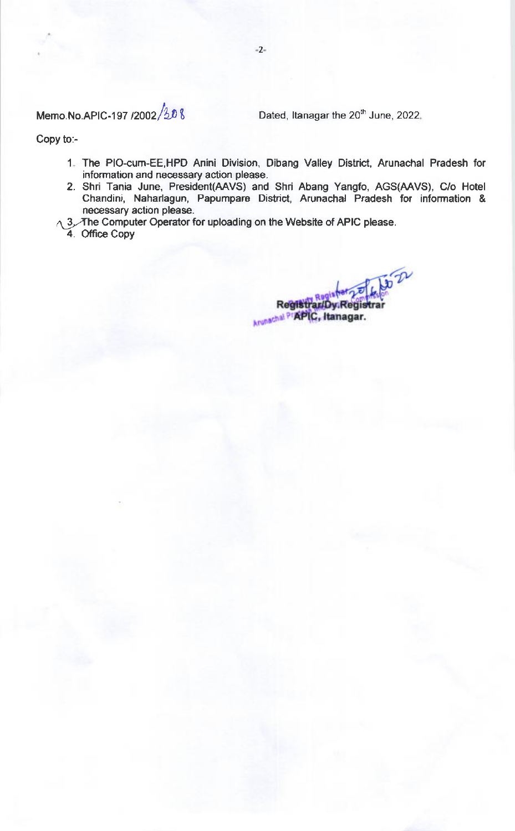Memo.No.APIC-197 /2002  $/3.0 \text{ m}$  Dated, Itanagar the 20<sup>th</sup> June, 2022.

Copy to:-

- The PIO-Cum-EE,HPD Anini Division, Dibang Valley District, Arunachal Pradesh for 1 information and necessary action please.
- 2. Shri Tania June, President(AAVS) and Shri Abang Yangfo, AGS(AAVS), C/o Hotel Chandini, Naharlagun, Papumpare District, Arunachal Pradesh for information & necessary action please.
- $\wedge$  3. The Computer Operator for uploading on the Website of APIC please.
- 4. Office Copy

**3022** Registrar/Dy Regis Arunachal PTAPIC, Itanagar.